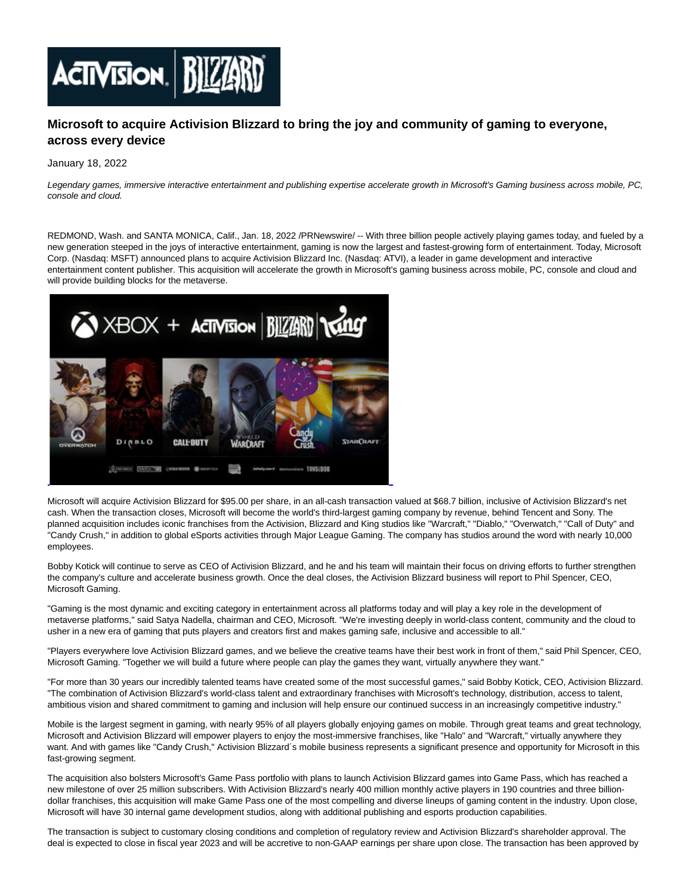

# **Microsoft to acquire Activision Blizzard to bring the joy and community of gaming to everyone, across every device**

### January 18, 2022

Legendary games, immersive interactive entertainment and publishing expertise accelerate growth in Microsoft's Gaming business across mobile, PC, console and cloud.

REDMOND, Wash. and SANTA MONICA, Calif., Jan. 18, 2022 /PRNewswire/ -- With three billion people actively playing games today, and fueled by a new generation steeped in the joys of interactive entertainment, gaming is now the largest and fastest-growing form of entertainment. Today, Microsoft Corp. (Nasdaq: MSFT) announced plans to acquire Activision Blizzard Inc. (Nasdaq: ATVI), a leader in game development and interactive entertainment content publisher. This acquisition will accelerate the growth in Microsoft's gaming business across mobile, PC, console and cloud and will provide building blocks for the metaverse.



Microsoft will acquire Activision Blizzard for \$95.00 per share, in an all-cash transaction valued at \$68.7 billion, inclusive of Activision Blizzard's net cash. When the transaction closes, Microsoft will become the world's third-largest gaming company by revenue, behind Tencent and Sony. The planned acquisition includes iconic franchises from the Activision, Blizzard and King studios like "Warcraft," "Diablo," "Overwatch," "Call of Duty" and "Candy Crush," in addition to global eSports activities through Major League Gaming. The company has studios around the word with nearly 10,000 employees.

Bobby Kotick will continue to serve as CEO of Activision Blizzard, and he and his team will maintain their focus on driving efforts to further strengthen the company's culture and accelerate business growth. Once the deal closes, the Activision Blizzard business will report to Phil Spencer, CEO, Microsoft Gaming.

"Gaming is the most dynamic and exciting category in entertainment across all platforms today and will play a key role in the development of metaverse platforms," said Satya Nadella, chairman and CEO, Microsoft. "We're investing deeply in world-class content, community and the cloud to usher in a new era of gaming that puts players and creators first and makes gaming safe, inclusive and accessible to all."

"Players everywhere love Activision Blizzard games, and we believe the creative teams have their best work in front of them," said Phil Spencer, CEO, Microsoft Gaming. "Together we will build a future where people can play the games they want, virtually anywhere they want."

"For more than 30 years our incredibly talented teams have created some of the most successful games," said Bobby Kotick, CEO, Activision Blizzard. "The combination of Activision Blizzard's world-class talent and extraordinary franchises with Microsoft's technology, distribution, access to talent, ambitious vision and shared commitment to gaming and inclusion will help ensure our continued success in an increasingly competitive industry."

Mobile is the largest segment in gaming, with nearly 95% of all players globally enjoying games on mobile. Through great teams and great technology, Microsoft and Activision Blizzard will empower players to enjoy the most-immersive franchises, like "Halo" and "Warcraft," virtually anywhere they want. And with games like "Candy Crush," Activision Blizzard's mobile business represents a significant presence and opportunity for Microsoft in this fast-growing segment.

The acquisition also bolsters Microsoft's Game Pass portfolio with plans to launch Activision Blizzard games into Game Pass, which has reached a new milestone of over 25 million subscribers. With Activision Blizzard's nearly 400 million monthly active players in 190 countries and three billiondollar franchises, this acquisition will make Game Pass one of the most compelling and diverse lineups of gaming content in the industry. Upon close, Microsoft will have 30 internal game development studios, along with additional publishing and esports production capabilities.

The transaction is subject to customary closing conditions and completion of regulatory review and Activision Blizzard's shareholder approval. The deal is expected to close in fiscal year 2023 and will be accretive to non-GAAP earnings per share upon close. The transaction has been approved by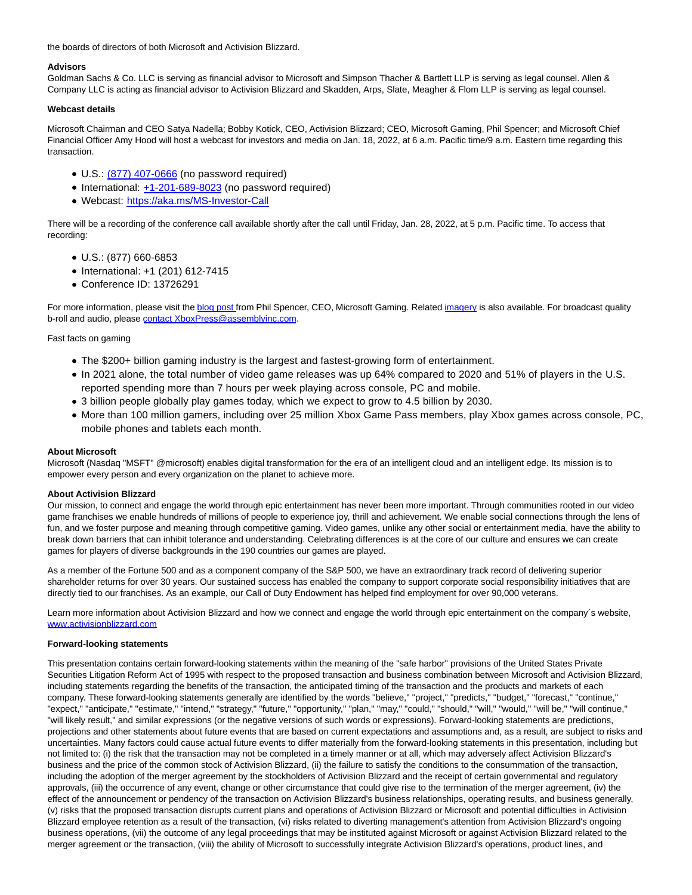the boards of directors of both Microsoft and Activision Blizzard.

## **Advisors**

Goldman Sachs & Co. LLC is serving as financial advisor to Microsoft and Simpson Thacher & Bartlett LLP is serving as legal counsel. Allen & Company LLC is acting as financial advisor to Activision Blizzard and Skadden, Arps, Slate, Meagher & Flom LLP is serving as legal counsel.

## **Webcast details**

Microsoft Chairman and CEO Satya Nadella; Bobby Kotick, CEO, Activision Blizzard; CEO, Microsoft Gaming, Phil Spencer; and Microsoft Chief Financial Officer Amy Hood will host a webcast for investors and media on Jan. 18, 2022, at 6 a.m. Pacific time/9 a.m. Eastern time regarding this transaction.

- U.S.: [\(877\) 407-0666 \(](tel:%28877%29%20407-0666)no password required)
- International: [+1-201-689-8023 \(](tel:%2B1-201-689-8023)no password required)
- Webcast: [https://aka.ms/MS-Investor-Call](https://c212.net/c/link/?t=0&l=en&o=3415968-1&h=1160394272&u=https%3A%2F%2Fnam06.safelinks.protection.outlook.com%2F%3Furl%3Dhttps%253A%252F%252Faka.ms%252FMS-Investor-Call%26data%3D04%257C01%257Csglass%2540microsoft.com%257Cd7ec6f359abf4764eec408d9d78e5c8a%257C72f988bf86f141af91ab2d7cd011db47%257C1%257C0%257C637777828718048900%257CUnknown%257CTWFpbGZsb3d8eyJWIjoiMC4wLjAwMDAiLCJQIjoiV2luMzIiLCJBTiI6Ik1haWwiLCJXVCI6Mn0%253D%257C3000%26sdata%3DLcu6BKF4X3%252B%252F7g5ZeEed%252BYR6FSj0fjO0f6HNOk5XHII%253D%26reserved%3D0&a=https%3A%2F%2Faka.ms%2FMS-Investor-Call)

There will be a recording of the conference call available shortly after the call until Friday, Jan. 28, 2022, at 5 p.m. Pacific time. To access that recording:

- U.S.: (877) 660-6853
- $\bullet$  International: +1 (201) 612-7415
- Conference ID: 13726291

For more information, please visit th[e blog post fr](https://c212.net/c/link/?t=0&l=en&o=3415968-1&h=1045099665&u=https%3A%2F%2Fnews.xbox.com%2Fen-us%2F2022%2F01%2F18%2Fwelcoming-activision-blizzard-to-microsoft-gaming%2F&a=blog+post%C2%A0)om Phil Spencer, CEO, Microsoft Gaming. Related [imagery i](https://c212.net/c/link/?t=0&l=en&o=3415968-1&h=325927314&u=https%3A%2F%2Fnews.microsoft.com%2F%3Fpost_type%3Dfeatures%26p%3D445014&a=imagery)s also available. For broadcast quality b-roll and audio, pleas[e contact XboxPress@assemblyinc.com.](mailto:contact%C2%A0XboxPress@assemblyinc.com)

## Fast facts on gaming

- The \$200+ billion gaming industry is the largest and fastest-growing form of entertainment.
- In 2021 alone, the total number of video game releases was up 64% compared to 2020 and 51% of players in the U.S. reported spending more than 7 hours per week playing across console, PC and mobile.
- 3 billion people globally play games today, which we expect to grow to 4.5 billion by 2030.
- More than 100 million gamers, including over 25 million Xbox Game Pass members, play Xbox games across console, PC, mobile phones and tablets each month.

### **About Microsoft**

Microsoft (Nasdaq "MSFT" @microsoft) enables digital transformation for the era of an intelligent cloud and an intelligent edge. Its mission is to empower every person and every organization on the planet to achieve more.

## **About Activision Blizzard**

Our mission, to connect and engage the world through epic entertainment has never been more important. Through communities rooted in our video game franchises we enable hundreds of millions of people to experience joy, thrill and achievement. We enable social connections through the lens of fun, and we foster purpose and meaning through competitive gaming. Video games, unlike any other social or entertainment media, have the ability to break down barriers that can inhibit tolerance and understanding. Celebrating differences is at the core of our culture and ensures we can create games for players of diverse backgrounds in the 190 countries our games are played.

As a member of the Fortune 500 and as a component company of the S&P 500, we have an extraordinary track record of delivering superior shareholder returns for over 30 years. Our sustained success has enabled the company to support corporate social responsibility initiatives that are directly tied to our franchises. As an example, our Call of Duty Endowment has helped find employment for over 90,000 veterans.

Learn more information about Activision Blizzard and how we connect and engage the world through epic entertainment on the company´s website, [www.activisionblizzard.com](http://www.activisionblizzard.com/)

#### **Forward-looking statements**

This presentation contains certain forward-looking statements within the meaning of the "safe harbor" provisions of the United States Private Securities Litigation Reform Act of 1995 with respect to the proposed transaction and business combination between Microsoft and Activision Blizzard, including statements regarding the benefits of the transaction, the anticipated timing of the transaction and the products and markets of each company. These forward-looking statements generally are identified by the words "believe," "project," "predicts," "budget," "forecast," "continue," "expect," "anticipate," "estimate," "intend," "strategy," "future," "opportunity," "plan," "may," "could," "should," "will," "would," "will be," "will continue," "will likely result," and similar expressions (or the negative versions of such words or expressions). Forward-looking statements are predictions, projections and other statements about future events that are based on current expectations and assumptions and, as a result, are subject to risks and uncertainties. Many factors could cause actual future events to differ materially from the forward-looking statements in this presentation, including but not limited to: (i) the risk that the transaction may not be completed in a timely manner or at all, which may adversely affect Activision Blizzard's business and the price of the common stock of Activision Blizzard, (ii) the failure to satisfy the conditions to the consummation of the transaction, including the adoption of the merger agreement by the stockholders of Activision Blizzard and the receipt of certain governmental and regulatory approvals, (iii) the occurrence of any event, change or other circumstance that could give rise to the termination of the merger agreement, (iv) the effect of the announcement or pendency of the transaction on Activision Blizzard's business relationships, operating results, and business generally, (v) risks that the proposed transaction disrupts current plans and operations of Activision Blizzard or Microsoft and potential difficulties in Activision Blizzard employee retention as a result of the transaction, (vi) risks related to diverting management's attention from Activision Blizzard's ongoing business operations, (vii) the outcome of any legal proceedings that may be instituted against Microsoft or against Activision Blizzard related to the merger agreement or the transaction, (viii) the ability of Microsoft to successfully integrate Activision Blizzard's operations, product lines, and